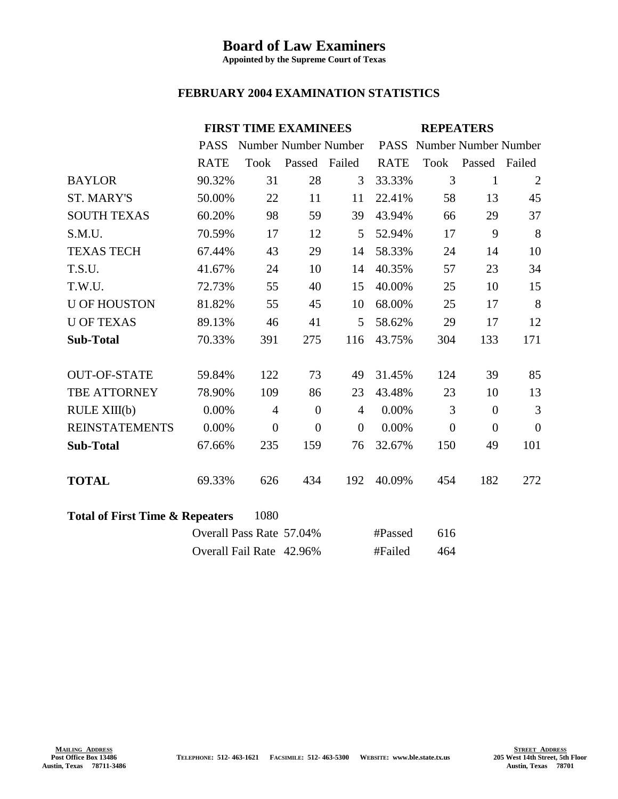## **Board of Law Examiners**

**Appointed by the Supreme Court of Texas**

## **FEBRUARY 2004 EXAMINATION STATISTICS**

|                                            |             | <b>FIRST TIME EXAMINEES</b> |                |                |             | <b>REPEATERS</b>          |                |                |  |
|--------------------------------------------|-------------|-----------------------------|----------------|----------------|-------------|---------------------------|----------------|----------------|--|
|                                            | <b>PASS</b> | Number Number Number        |                |                |             | PASS Number Number Number |                |                |  |
|                                            | <b>RATE</b> | <b>Took</b>                 | Passed Failed  |                | <b>RATE</b> |                           | Took Passed    | Failed         |  |
| <b>BAYLOR</b>                              | 90.32%      | 31                          | 28             | 3              | 33.33%      | 3                         | $\mathbf{1}$   | $\overline{2}$ |  |
| <b>ST. MARY'S</b>                          | 50.00%      | 22                          | 11             | 11             | 22.41%      | 58                        | 13             | 45             |  |
| <b>SOUTH TEXAS</b>                         | 60.20%      | 98                          | 59             | 39             | 43.94%      | 66                        | 29             | 37             |  |
| S.M.U.                                     | 70.59%      | 17                          | 12             | 5              | 52.94%      | 17                        | 9              | 8              |  |
| <b>TEXAS TECH</b>                          | 67.44%      | 43                          | 29             | 14             | 58.33%      | 24                        | 14             | 10             |  |
| T.S.U.                                     | 41.67%      | 24                          | 10             | 14             | 40.35%      | 57                        | 23             | 34             |  |
| T.W.U.                                     | 72.73%      | 55                          | 40             | 15             | 40.00%      | 25                        | 10             | 15             |  |
| <b>U OF HOUSTON</b>                        | 81.82%      | 55                          | 45             | 10             | 68.00%      | 25                        | 17             | 8              |  |
| <b>U OF TEXAS</b>                          | 89.13%      | 46                          | 41             | 5              | 58.62%      | 29                        | 17             | 12             |  |
| <b>Sub-Total</b>                           | 70.33%      | 391                         | 275            | 116            | 43.75%      | 304                       | 133            | 171            |  |
|                                            |             |                             |                |                |             |                           |                |                |  |
| <b>OUT-OF-STATE</b>                        | 59.84%      | 122                         | 73             | 49             | 31.45%      | 124                       | 39             | 85             |  |
| TBE ATTORNEY                               | 78.90%      | 109                         | 86             | 23             | 43.48%      | 23                        | 10             | 13             |  |
| RULE XIII(b)                               | 0.00%       | $\overline{4}$              | $\overline{0}$ | $\overline{4}$ | 0.00%       | 3                         | $\overline{0}$ | 3              |  |
| <b>REINSTATEMENTS</b>                      | 0.00%       | $\overline{0}$              | $\overline{0}$ | $\theta$       | 0.00%       | $\theta$                  | $\overline{0}$ | $\theta$       |  |
| <b>Sub-Total</b>                           | 67.66%      | 235                         | 159            | 76             | 32.67%      | 150                       | 49             | 101            |  |
|                                            |             |                             |                |                |             |                           |                |                |  |
| <b>TOTAL</b>                               | 69.33%      | 626                         | 434            | 192            | 40.09%      | 454                       | 182            | 272            |  |
|                                            |             |                             |                |                |             |                           |                |                |  |
| <b>Total of First Time &amp; Repeaters</b> |             |                             |                |                |             |                           |                |                |  |
|                                            |             | Overall Pass Rate 57.04%    |                |                | #Passed     | 616                       |                |                |  |
|                                            |             | Overall Fail Rate 42.96%    |                |                | #Failed     | 464                       |                |                |  |